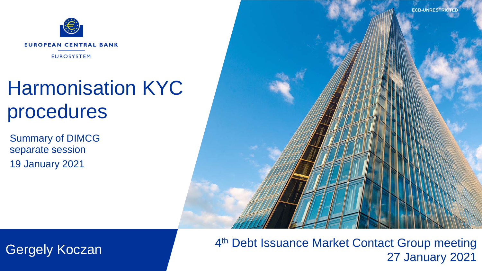**ECB-UNRESTRICTED**



## Harmonisation KYC procedures

Summary of DIMCG separate session 19 January 2021



4<sup>th</sup> Debt Issuance Market Contact Group meeting Gergely Koczan **Europa Standard Alexander Warket Contact Group meeting**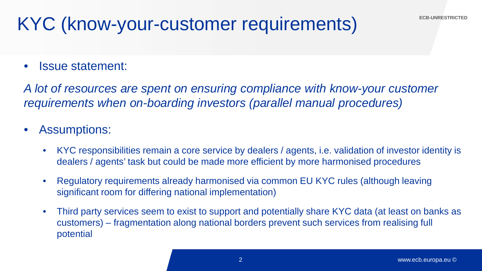• Issue statement:

*A lot of resources are spent on ensuring compliance with know-your customer requirements when on-boarding investors (parallel manual procedures)*

- Assumptions:
	- KYC responsibilities remain a core service by dealers / agents, i.e. validation of investor identity is dealers / agents' task but could be made more efficient by more harmonised procedures
	- Regulatory requirements already harmonised via common EU KYC rules (although leaving significant room for differing national implementation)
	- Third party services seem to exist to support and potentially share KYC data (at least on banks as customers) – fragmentation along national borders prevent such services from realising full potential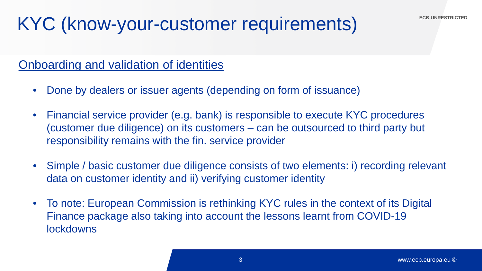#### Onboarding and validation of identities

- Done by dealers or issuer agents (depending on form of issuance)
- Financial service provider (e.g. bank) is responsible to execute KYC procedures (customer due diligence) on its customers – can be outsourced to third party but responsibility remains with the fin. service provider
- Simple / basic customer due diligence consists of two elements: i) recording relevant data on customer identity and ii) verifying customer identity
- To note: European Commission is rethinking KYC rules in the context of its Digital Finance package also taking into account the lessons learnt from COVID-19 lockdowns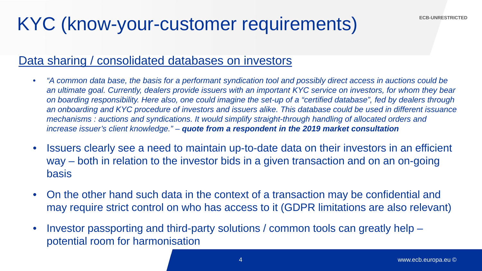#### Data sharing / consolidated databases on investors

- *"A common data base, the basis for a performant syndication tool and possibly direct access in auctions could be an ultimate goal. Currently, dealers provide issuers with an important KYC service on investors, for whom they bear on boarding responsibility. Here also, one could imagine the set-up of a "certified database", fed by dealers through an onboarding and KYC procedure of investors and issuers alike. This database could be used in different issuance mechanisms : auctions and syndications. It would simplify straight-through handling of allocated orders and increase issuer's client knowledge." – quote from a respondent in the 2019 market consultation*
- 2015<br>2015 2015 • Issuers clearly see a need to maintain up-to-date data on their investors in an efficient way – both in relation to the investor bids in a given transaction and on an on-going basis
- On the other hand such data in the context of a transaction may be confidential and may require strict control on who has access to it (GDPR limitations are also relevant)
- Investor passporting and third-party solutions / common tools can greatly help potential room for harmonisation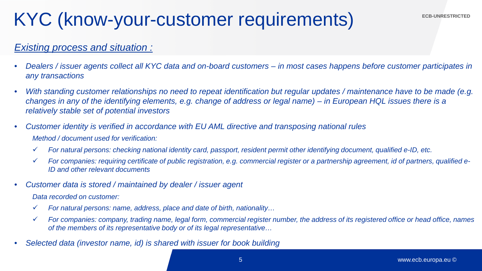#### *Existing process and situation :*

- *Dealers / issuer agents collect all KYC data and on-board customers – in most cases happens before customer participates in any transactions*
- *With standing customer relationships no need to repeat identification but regular updates / maintenance have to be made (e.g. changes in any of the identifying elements, e.g. change of address or legal name) – in European HQL issues there is a relatively stable set of potential investors*
- *Customer identity is verified in accordance with EU AML directive and transposing national rules Method / document used for verification:*
	- 2011.11 *For natural persons: checking national identity card, passport, resident permit other identifying document, qualified e-ID, etc.*
	- *For companies: requiring certificate of public registration, e.g. commercial register or a partnership agreement, id of partners, qualified e-ID and other relevant documents*
- *Customer data is stored / maintained by dealer / issuer agent*

*Data recorded on customer:* 

- *For natural persons: name, address, place and date of birth, nationality…*
- *For companies: company, trading name, legal form, commercial register number, the address of its registered office or head office, names of the members of its representative body or of its legal representative…*
- *Selected data (investor name, id) is shared with issuer for book building*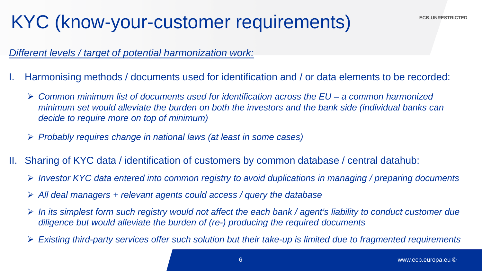#### *Different levels / target of potential harmonization work:*

- I. Harmonising methods / documents used for identification and / or data elements to be recorded:
	- *Common minimum list of documents used for identification across the EU – a common harmonized minimum set would alleviate the burden on both the investors and the bank side (individual banks can decide to require more on top of minimum)*
	- *Probably requires change in national laws (at least in some cases)*
- $\overline{a}$ II. Sharing of KYC data / identification of customers by common database / central datahub:
	- *Investor KYC data entered into common registry to avoid duplications in managing / preparing documents*
	- *All deal managers + relevant agents could access / query the database*
	- *In its simplest form such registry would not affect the each bank / agent's liability to conduct customer due diligence but would alleviate the burden of (re-) producing the required documents*
	- *Existing third-party services offer such solution but their take-up is limited due to fragmented requirements*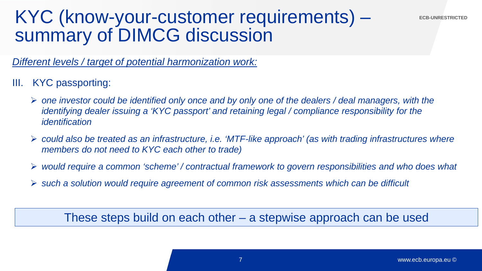# KYC (know-your-customer requirements) – summary of DIMCG discussion

*Different levels / target of potential harmonization work:*

- III. KYC passporting:
	- *one investor could be identified only once and by only one of the dealers / deal managers, with the identifying dealer issuing a 'KYC passport' and retaining legal / compliance responsibility for the identification*
	- $2015$  *could also be treated as an infrastructure, i.e. 'MTF-like approach' (as with trading infrastructures where members do not need to KYC each other to trade)*
	- *would require a common 'scheme' / contractual framework to govern responsibilities and who does what*
	- *such a solution would require agreement of common risk assessments which can be difficult*

These steps build on each other – a stepwise approach can be used

**ECB-UNRESTRICTED**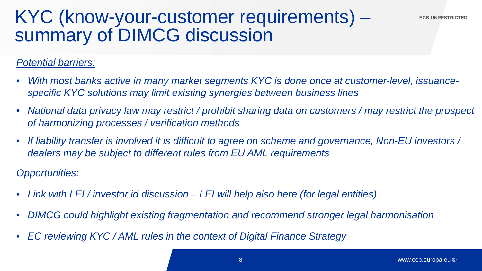# KYC (know-your-customer requirements) – summary of DIMCG discussion

#### *Potential barriers:*

- *With most banks active in many market segments KYC is done once at customer-level, issuancespecific KYC solutions may limit existing synergies between business lines*
- *National data privacy law may restrict / prohibit sharing data on customers / may restrict the prospect of harmonizing processes / verification methods*
- dealers may be subject to different rules from EU AML requirements • *If liability transfer is involved it is difficult to agree on scheme and governance, Non-EU investors /*

#### *Opportunities:*

- *Link with LEI / investor id discussion – LEI will help also here (for legal entities)*
- *DIMCG could highlight existing fragmentation and recommend stronger legal harmonisation*
- *EC reviewing KYC / AML rules in the context of Digital Finance Strategy*

**ECB-UNRESTRICTED**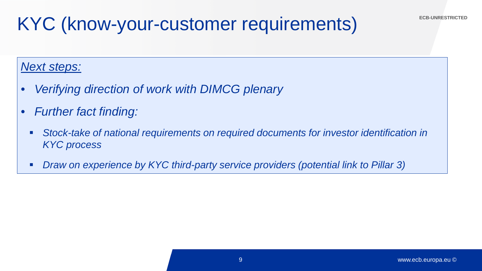#### *Next steps:*

- *Verifying direction of work with DIMCG plenary*
- *Further fact finding:*
	- **Stock-take of national requirements on required documents for investor identification in** *KYC process*
	- *Draw on experience by KYC third-party service providers (potential link to Pillar 3)*